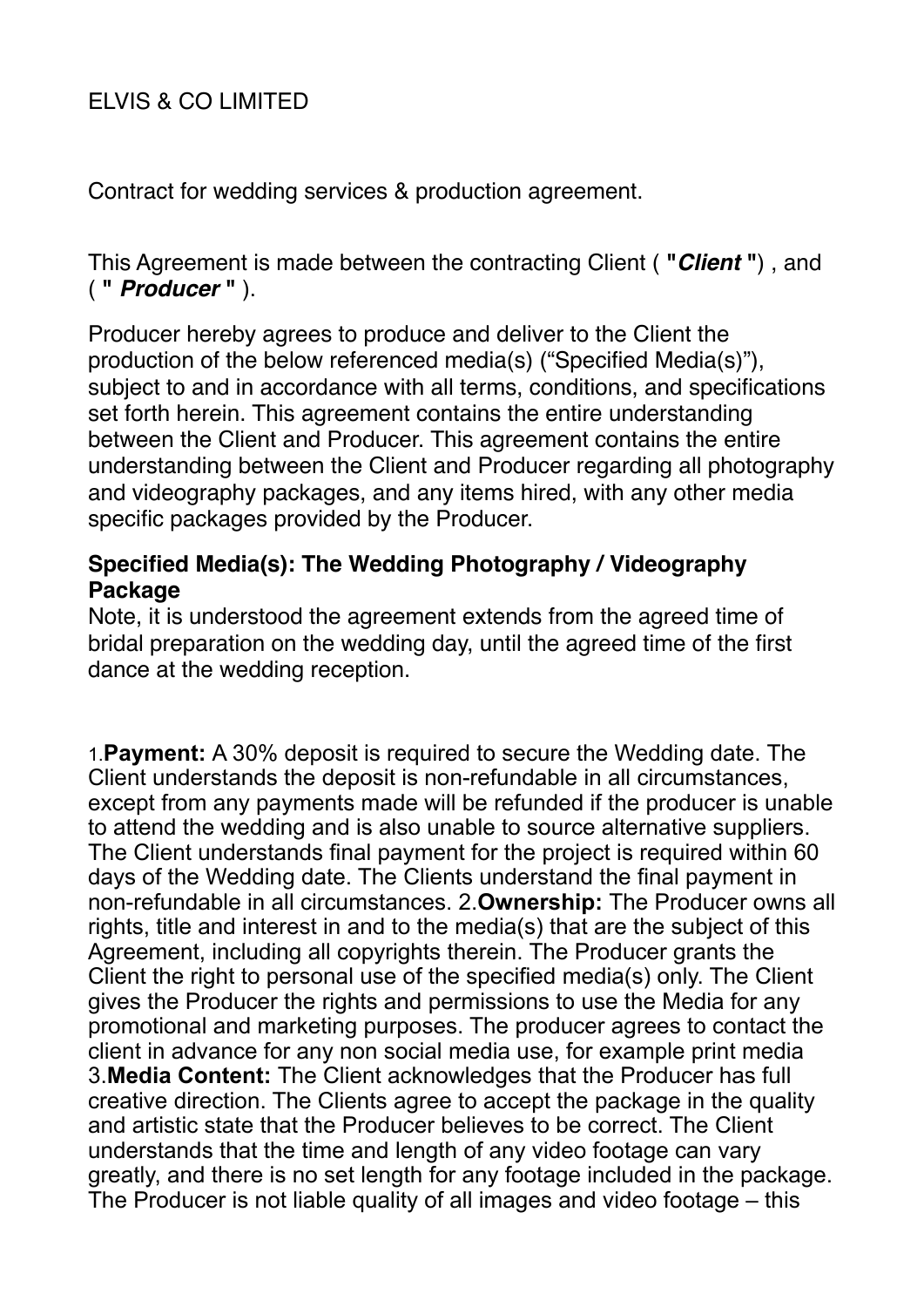# ELVIS & CO LIMITED

Contract for wedding services & production agreement.

This Agreement is made between the contracting Client ( **"***Client* **"**) , and ( **"** *Producer* **"** ).

Producer hereby agrees to produce and deliver to the Client the production of the below referenced media(s) ("Specified Media(s)"), subject to and in accordance with all terms, conditions, and specifications set forth herein. This agreement contains the entire understanding between the Client and Producer. This agreement contains the entire understanding between the Client and Producer regarding all photography and videography packages, and any items hired, with any other media specific packages provided by the Producer.

## **Specified Media(s): The Wedding Photography / Videography Package**

Note, it is understood the agreement extends from the agreed time of bridal preparation on the wedding day, until the agreed time of the first dance at the wedding reception.

1.**Payment:** A 30% deposit is required to secure the Wedding date. The Client understands the deposit is non-refundable in all circumstances, except from any payments made will be refunded if the producer is unable to attend the wedding and is also unable to source alternative suppliers. The Client understands final payment for the project is required within 60 days of the Wedding date. The Clients understand the final payment in non-refundable in all circumstances. 2.**Ownership:** The Producer owns all rights, title and interest in and to the media(s) that are the subject of this Agreement, including all copyrights therein. The Producer grants the Client the right to personal use of the specified media(s) only. The Client gives the Producer the rights and permissions to use the Media for any promotional and marketing purposes. The producer agrees to contact the client in advance for any non social media use, for example print media 3.**Media Content:** The Client acknowledges that the Producer has full creative direction. The Clients agree to accept the package in the quality and artistic state that the Producer believes to be correct. The Client understands that the time and length of any video footage can vary greatly, and there is no set length for any footage included in the package. The Producer is not liable quality of all images and video footage – this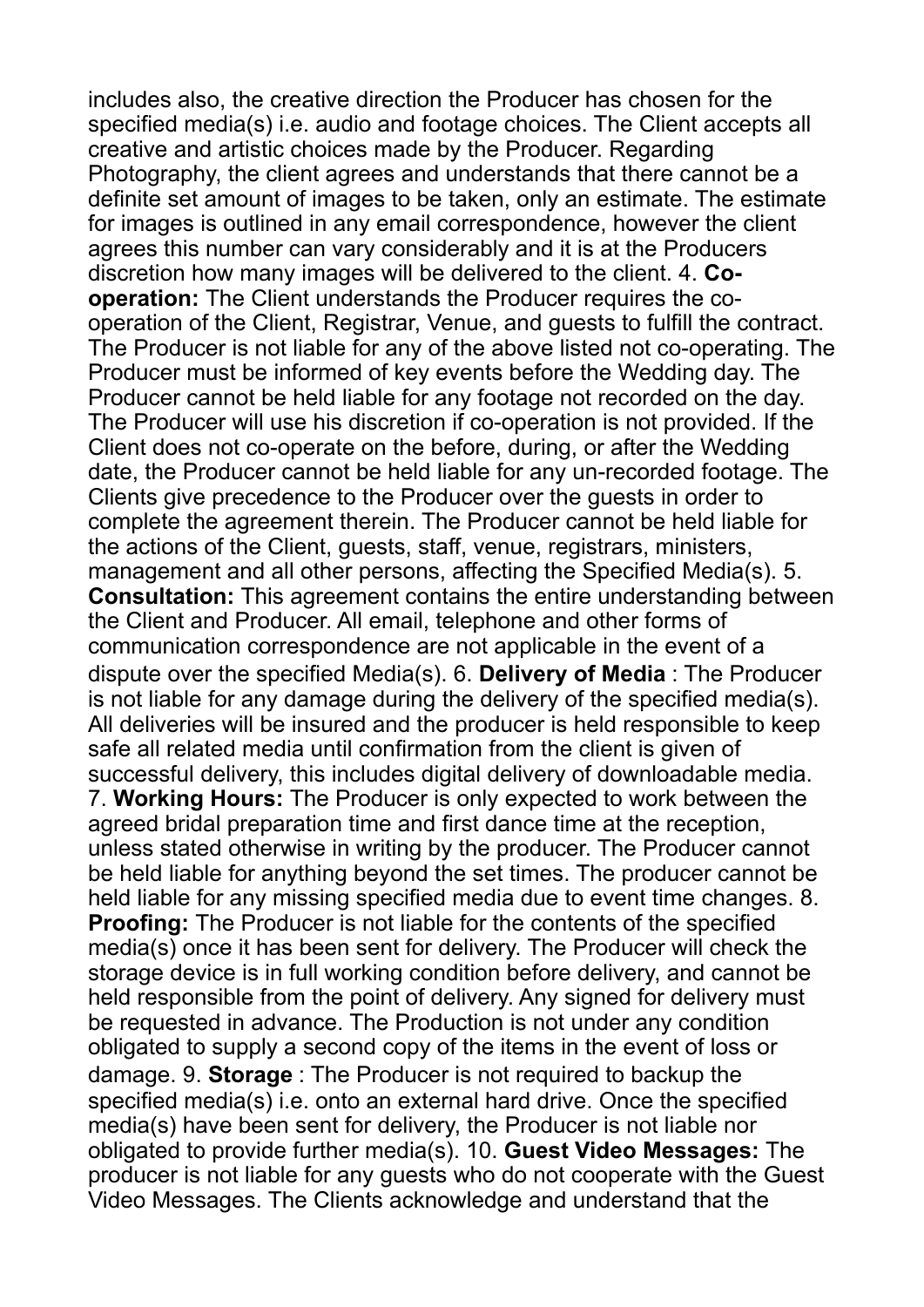includes also, the creative direction the Producer has chosen for the specified media(s) i.e. audio and footage choices. The Client accepts all creative and artistic choices made by the Producer. Regarding Photography, the client agrees and understands that there cannot be a definite set amount of images to be taken, only an estimate. The estimate for images is outlined in any email correspondence, however the client agrees this number can vary considerably and it is at the Producers discretion how many images will be delivered to the client. 4. **Cooperation:** The Client understands the Producer requires the cooperation of the Client, Registrar, Venue, and guests to fulfill the contract. The Producer is not liable for any of the above listed not co-operating. The Producer must be informed of key events before the Wedding day. The Producer cannot be held liable for any footage not recorded on the day. The Producer will use his discretion if co-operation is not provided. If the Client does not co-operate on the before, during, or after the Wedding date, the Producer cannot be held liable for any un-recorded footage. The Clients give precedence to the Producer over the guests in order to complete the agreement therein. The Producer cannot be held liable for the actions of the Client, guests, staff, venue, registrars, ministers, management and all other persons, affecting the Specified Media(s). 5. **Consultation:** This agreement contains the entire understanding between the Client and Producer. All email, telephone and other forms of communication correspondence are not applicable in the event of a dispute over the specified Media(s). 6. **Delivery of Media** : The Producer is not liable for any damage during the delivery of the specified media(s). All deliveries will be insured and the producer is held responsible to keep safe all related media until confirmation from the client is given of successful delivery, this includes digital delivery of downloadable media. 7. **Working Hours:** The Producer is only expected to work between the agreed bridal preparation time and first dance time at the reception, unless stated otherwise in writing by the producer. The Producer cannot be held liable for anything beyond the set times. The producer cannot be held liable for any missing specified media due to event time changes. 8. **Proofing:** The Producer is not liable for the contents of the specified media(s) once it has been sent for delivery. The Producer will check the storage device is in full working condition before delivery, and cannot be held responsible from the point of delivery. Any signed for delivery must be requested in advance. The Production is not under any condition obligated to supply a second copy of the items in the event of loss or damage. 9. **Storage** : The Producer is not required to backup the specified media(s) i.e. onto an external hard drive. Once the specified media(s) have been sent for delivery, the Producer is not liable nor obligated to provide further media(s). 10. **Guest Video Messages:** The producer is not liable for any guests who do not cooperate with the Guest Video Messages. The Clients acknowledge and understand that the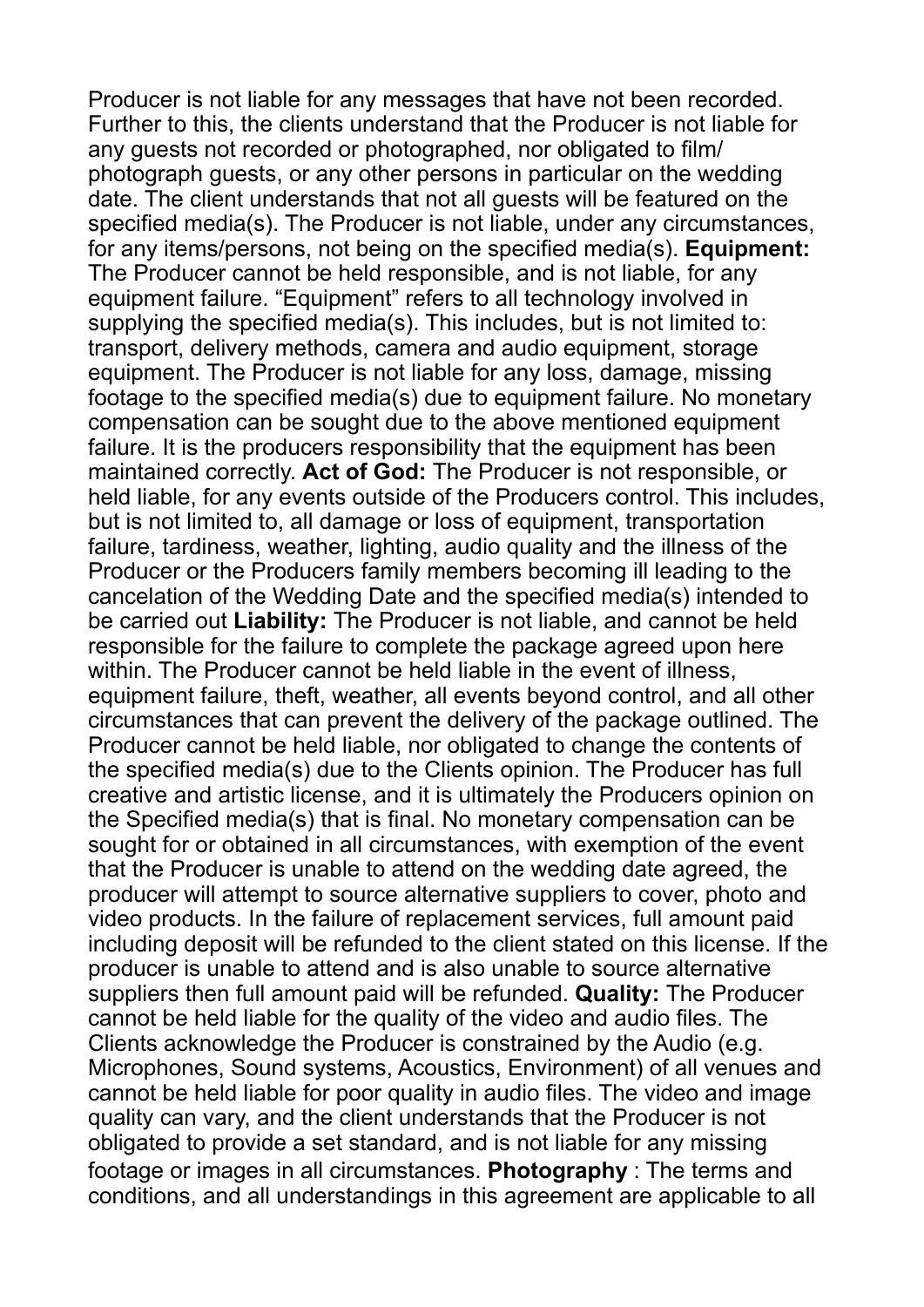Producer is not liable for any messages that have not been recorded. Further to this, the clients understand that the Producer is not liable for any guests not recorded or photographed, nor obligated to film/ photograph guests, or any other persons in particular on the wedding date. The client understands that not all guests will be featured on the specified media(s). The Producer is not liable, under any circumstances, for any items/persons, not being on the specified media(s). **Equipment:**  The Producer cannot be held responsible, and is not liable, for any equipment failure. "Equipment" refers to all technology involved in supplying the specified media(s). This includes, but is not limited to: transport, delivery methods, camera and audio equipment, storage equipment. The Producer is not liable for any loss, damage, missing footage to the specified media(s) due to equipment failure. No monetary compensation can be sought due to the above mentioned equipment failure. It is the producers responsibility that the equipment has been maintained correctly. **Act of God:** The Producer is not responsible, or held liable, for any events outside of the Producers control. This includes, but is not limited to, all damage or loss of equipment, transportation failure, tardiness, weather, lighting, audio quality and the illness of the Producer or the Producers family members becoming ill leading to the cancelation of the Wedding Date and the specified media(s) intended to be carried out **Liability:** The Producer is not liable, and cannot be held responsible for the failure to complete the package agreed upon here within. The Producer cannot be held liable in the event of illness, equipment failure, theft, weather, all events beyond control, and all other circumstances that can prevent the delivery of the package outlined. The Producer cannot be held liable, nor obligated to change the contents of the specified media(s) due to the Clients opinion. The Producer has full creative and artistic license, and it is ultimately the Producers opinion on the Specified media(s) that is final. No monetary compensation can be sought for or obtained in all circumstances, with exemption of the event that the Producer is unable to attend on the wedding date agreed, the producer will attempt to source alternative suppliers to cover, photo and video products. In the failure of replacement services, full amount paid including deposit will be refunded to the client stated on this license. If the producer is unable to attend and is also unable to source alternative suppliers then full amount paid will be refunded. **Quality:** The Producer cannot be held liable for the quality of the video and audio files. The Clients acknowledge the Producer is constrained by the Audio (e.g. Microphones, Sound systems, Acoustics, Environment) of all venues and cannot be held liable for poor quality in audio files. The video and image quality can vary, and the client understands that the Producer is not obligated to provide a set standard, and is not liable for any missing footage or images in all circumstances. **Photography** : The terms and conditions, and all understandings in this agreement are applicable to all